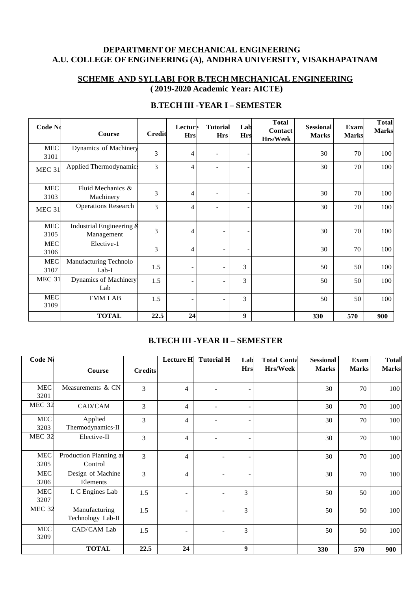# **DEPARTMENT OF MECHANICAL ENGINEERING A.U. COLLEGE OF ENGINEERING (A), ANDHRA UNIVERSITY, VISAKHAPATNAM**

# **SCHEME AND SYLLABI FOR B.TECH MECHANICAL ENGINEERING ( 2019-2020 Academic Year: AICTE)**

| Code No            | Course                                 | <b>Credit</b> | <b>Lecture</b><br><b>Hrs</b> | <b>Tutorial</b><br><b>Hrs</b> | Lab<br><b>Hrs</b> | <b>Total</b><br>Contact<br>Hrs/Week | <b>Sessional</b><br><b>Marks</b> | Exam<br><b>Marks</b> | <b>Total</b><br><b>Marks</b> |
|--------------------|----------------------------------------|---------------|------------------------------|-------------------------------|-------------------|-------------------------------------|----------------------------------|----------------------|------------------------------|
| <b>MEC</b><br>3101 | Dynamics of Machinery                  | 3             | 4                            | $\overline{\phantom{a}}$      |                   |                                     | 30                               | 70                   | 100                          |
| <b>MEC 31</b>      | Applied Thermodynamics                 | 3             | $\overline{4}$               |                               |                   |                                     | 30                               | 70                   | 100                          |
| <b>MEC</b><br>3103 | Fluid Mechanics &<br>Machinery         | 3             | 4                            | $\overline{\phantom{a}}$      |                   |                                     | 30                               | 70                   | 100                          |
| <b>MEC 31</b>      | <b>Operations Research</b>             | 3             | $\overline{4}$               | ۰                             |                   |                                     | 30                               | 70                   | 100                          |
| <b>MEC</b><br>3105 | Industrial Engineering &<br>Management | 3             | 4                            | $\overline{\phantom{a}}$      |                   |                                     | 30                               | 70                   | 100                          |
| MEC<br>3106        | Elective-1                             | 3             | $\overline{4}$               |                               |                   |                                     | 30                               | 70                   | 100                          |
| <b>MEC</b><br>3107 | Manufacturing Technolo<br>$Lab-I$      | 1.5           | $\overline{\phantom{a}}$     | $\overline{\phantom{a}}$      | 3                 |                                     | 50                               | 50                   | 100                          |
| <b>MEC 31</b>      | Dynamics of Machinery<br>Lab           | 1.5           | $\overline{\phantom{a}}$     | $\overline{\phantom{a}}$      | 3                 |                                     | 50                               | 50                   | 100                          |
| <b>MEC</b><br>3109 | <b>FMM LAB</b>                         | 1.5           | $\overline{\phantom{a}}$     | $\overline{\phantom{a}}$      | 3                 |                                     | 50                               | 50                   | 100                          |
|                    | <b>TOTAL</b>                           | 22.5          | 24                           |                               | 9                 |                                     | 330                              | 570                  | 900                          |

# **B.TECH III -YEAR I – SEMESTER**

# **B.TECH III -YEAR II – SEMESTER**

| $\overline{\text{Code N}}$ |                        |                | <b>Lecture H</b>         | <b>Tutorial H</b>        | Lab                      | <b>Total Conta</b> | <b>Sessional</b> | Exam         | <b>Total</b> |
|----------------------------|------------------------|----------------|--------------------------|--------------------------|--------------------------|--------------------|------------------|--------------|--------------|
|                            | Course                 | <b>Credits</b> |                          |                          | <b>Hrs</b>               | <b>Hrs/Week</b>    | <b>Marks</b>     | <b>Marks</b> | <b>Marks</b> |
|                            |                        |                |                          |                          |                          |                    |                  |              |              |
| <b>MEC</b>                 | Measurements & CN      | 3              | 4                        |                          |                          |                    | 30               | 70           | 100          |
| 3201                       |                        |                |                          |                          |                          |                    |                  |              |              |
| <b>MEC 32</b>              | CAD/CAM                | 3              | 4                        |                          |                          |                    | 30               | 70           | 100          |
| <b>MEC</b>                 | Applied                | 3              | 4                        |                          | ٠                        |                    | 30               | 70           | 100          |
| 3203                       | Thermodynamics-II      |                |                          |                          |                          |                    |                  |              |              |
| <b>MEC 32</b>              | Elective-II            | 3              | $\overline{4}$           |                          | $\overline{\phantom{a}}$ |                    | 30               | 70           | 100          |
| <b>MEC</b>                 | Production Planning ar | $\overline{3}$ | 4                        |                          |                          |                    | 30               | 70           | 100          |
| 3205                       | Control                |                |                          |                          |                          |                    |                  |              |              |
| <b>MEC</b>                 | Design of Machine      | 3              | $\overline{4}$           | $\overline{\phantom{a}}$ | $\overline{a}$           |                    | 30               | 70           | 100          |
| 3206                       | Elements               |                |                          |                          |                          |                    |                  |              |              |
| <b>MEC</b>                 | I. C Engines Lab       | 1.5            | $\overline{\phantom{a}}$ | $\overline{\phantom{a}}$ | $\overline{3}$           |                    | 50               | 50           | 100          |
| 3207                       |                        |                |                          |                          |                          |                    |                  |              |              |
| MEC <sub>32</sub>          | Manufacturing          | 1.5            | $\overline{\phantom{a}}$ | $\overline{\phantom{a}}$ | 3                        |                    | 50               | 50           | 100          |
|                            | Technology Lab-II      |                |                          |                          |                          |                    |                  |              |              |
| MEC                        | CAD/CAM Lab            | 1.5            | $\overline{\phantom{a}}$ | $\overline{\phantom{a}}$ | 3                        |                    | 50               | 50           | 100          |
| 3209                       |                        |                |                          |                          |                          |                    |                  |              |              |
|                            | <b>TOTAL</b>           | 22.5           | 24                       |                          | 9                        |                    | 330              | 570          | 900          |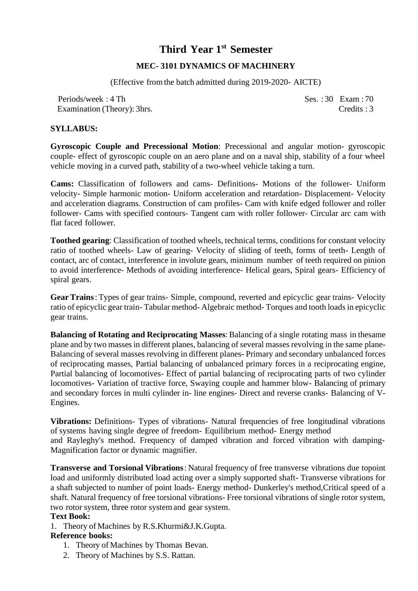# **Third Year 1 st Semester**

# **MEC- 3101 DYNAMICS OF MACHINERY**

(Effective fromthe batch admitted during 2019-2020- AICTE)

Periods/week: 4 Th Ses. : 30 Exam : 70 Examination (Theory): 3hrs. Credits : 3

# **SYLLABUS:**

**Gyroscopic Couple and Precessional Motion**: Precessional and angular motion- gyroscopic couple- effect of gyroscopic couple on an aero plane and on a naval ship, stability of a four wheel vehicle moving in a curved path, stability of a two-wheel vehicle taking a turn.

**Cams:** Classification of followers and cams- Definitions- Motions of the follower- Uniform velocity- Simple harmonic motion- Uniform acceleration and retardation- Displacement- Velocity and acceleration diagrams. Construction of cam profiles- Cam with knife edged follower and roller follower- Cams with specified contours- Tangent cam with roller follower- Circular arc cam with flat faced follower.

**Toothed gearing**: Classification of toothed wheels, technical terms, conditions for constant velocity ratio of toothed wheels- Law of gearing- Velocity of sliding of teeth, forms of teeth- Length of contact, arc of contact, interference in involute gears, minimum number of teeth required on pinion to avoid interference- Methods of avoiding interference- Helical gears, Spiral gears- Efficiency of spiral gears.

**Gear Trains**: Types of gear trains- Simple, compound, reverted and epicyclic gear trains- Velocity ratio of epicyclic gear train- Tabular method- Algebraic method- Torques and tooth loadsin epicyclic gear trains.

**Balancing of Rotating and Reciprocating Masses**: Balancing of a single rotating mass in thesame plane and by two masses in different planes, balancing of several masses revolving in the same plane-Balancing of several masses revolving in different planes- Primary and secondary unbalanced forces of reciprocating masses, Partial balancing of unbalanced primary forces in a reciprocating engine, Partial balancing of locomotives- Effect of partial balancing of reciprocating parts of two cylinder locomotives- Variation of tractive force, Swaying couple and hammer blow- Balancing of primary and secondary forces in multi cylinder in- line engines- Direct and reverse cranks- Balancing of V-Engines.

**Vibrations:** Definitions- Types of vibrations- Natural frequencies of free longitudinal vibrations of systems having single degree of freedom- Equilibrium method- Energy method and Rayleghy's method. Frequency of damped vibration and forced vibration with damping-Magnification factor or dynamic magnifier.

**Transverse and Torsional Vibrations**: Natural frequency of free transverse vibrations due topoint load and uniformly distributed load acting over a simply supported shaft- Transverse vibrations for a shaft subjected to number of point loads- Energy method- Dunkerley's method,Critical speed of a shaft. Natural frequency of free torsional vibrations- Free torsional vibrations of single rotor system, two rotor system, three rotor system and gear system.

### **Text Book:**

1. Theory of Machines by R.S.Khurmi&J.K.Gupta.

# **Reference books:**

- 1. Theory of Machines by Thomas Bevan.
- 2. Theory of Machines by S.S. Rattan.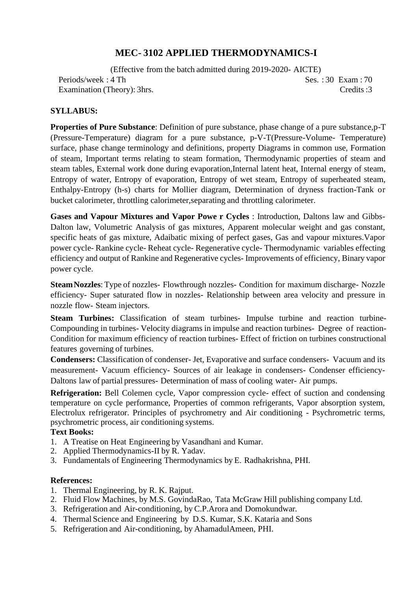# **MEC- 3102 APPLIED THERMODYNAMICS-I**

(Effective from the batch admitted during 2019-2020- AICTE) Periods/week: 4 Th Ses. : 30 Exam : 70 Examination (Theory): 3hrs. Credits :3

# **SYLLABUS:**

**Properties of Pure Substance**: Definition of pure substance, phase change of a pure substance,p-T (Pressure-Temperature) diagram for a pure substance, p-V-T(Pressure-Volume- Temperature) surface, phase change terminology and definitions, property Diagrams in common use, Formation of steam, Important terms relating to steam formation, Thermodynamic properties of steam and steam tables, External work done during evaporation,Internal latent heat, Internal energy of steam, Entropy of water, Entropy of evaporation, Entropy of wet steam, Entropy of superheated steam, Enthalpy-Entropy (h-s) charts for Mollier diagram, Determination of dryness fraction-Tank or bucket calorimeter, throttling calorimeter,separating and throttling calorimeter.

**Gases and Vapour Mixtures and Vapor Powe r Cycles** : Introduction, Daltons law and Gibbs-Dalton law, Volumetric Analysis of gas mixtures, Apparent molecular weight and gas constant, specific heats of gas mixture, Adaibatic mixing of perfect gases, Gas and vapour mixtures.Vapor power cycle- Rankine cycle- Reheat cycle- Regenerative cycle- Thermodynamic variables effecting efficiency and output of Rankine and Regenerative cycles- Improvements of efficiency, Binary vapor power cycle.

**SteamNozzles**: Type of nozzles- Flowthrough nozzles- Condition for maximum discharge- Nozzle efficiency- Super saturated flow in nozzles- Relationship between area velocity and pressure in nozzle flow- Steam injectors.

**Steam Turbines:** Classification of steam turbines- Impulse turbine and reaction turbine-Compounding in turbines- Velocity diagrams in impulse and reaction turbines- Degree of reaction-Condition for maximum efficiency of reaction turbines- Effect of friction on turbines constructional features governing of turbines.

**Condensers:** Classification of condenser- Jet, Evaporative and surface condensers- Vacuum and its measurement- Vacuum efficiency- Sources of air leakage in condensers- Condenser efficiency-Daltons law of partial pressures- Determination of mass of cooling water- Air pumps.

**Refrigeration:** Bell Colemen cycle, Vapor compression cycle- effect of suction and condensing temperature on cycle performance, Properties of common refrigerants, Vapor absorption system, Electrolux refrigerator. Principles of psychrometry and Air conditioning - Psychrometric terms, psychrometric process, air conditioning systems.

#### **Text Books:**

- 1. A Treatise on Heat Engineering by Vasandhani and Kumar.
- 2. Applied Thermodynamics-II by R. Yadav.
- 3. Fundamentals of Engineering Thermodynamics by E. Radhakrishna, PHI.

#### **References:**

- 1. Thermal Engineering, by R. K. Rajput.
- 2. Fluid Flow Machines, by M.S. GovindaRao, Tata McGraw Hill publishing company Ltd.
- 3. Refrigeration and Air-conditioning, by C.P.Arora and Domokundwar.
- 4. Thermal Science and Engineering by D.S. Kumar, S.K. Kataria and Sons
- 5. Refrigeration and Air-conditioning, by AhamadulAmeen, PHI.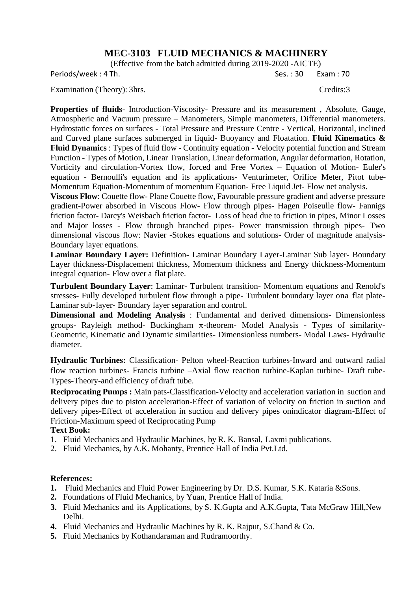# **MEC-3103 FLUID MECHANICS & MACHINERY**

(Effective from the batch admitted during 2019-2020 -AICTE)

Periods/week : 4 Th. Ses. : 30 Exam : 70

Examination (Theory): 3hrs. Credits:3

**Properties of fluids**- Introduction-Viscosity- Pressure and its measurement , Absolute, Gauge, Atmospheric and Vacuum pressure – Manometers, Simple manometers, Differential manometers. Hydrostatic forces on surfaces - Total Pressure and Pressure Centre - Vertical, Horizontal, inclined and Curved plane surfaces submerged in liquid- Buoyancy and Floatation. **Fluid Kinematics & Fluid Dynamics** : Types of fluid flow - Continuity equation - Velocity potential function and Stream Function - Types of Motion, Linear Translation, Linear deformation, Angular deformation, Rotation, Vorticity and circulation-Vortex flow, forced and Free Vortex – Equation of Motion- Euler's equation - Bernoulli's equation and its applications- Venturimeter, Orifice Meter, Pitot tube-Momentum Equation-Momentum of momentum Equation- Free Liquid Jet- Flow net analysis.

**Viscous Flow**: Couette flow- Plane Couette flow, Favourable pressure gradient and adverse pressure gradient-Power absorbed in Viscous Flow- Flow through pipes- Hagen Poiseulle flow- Fannigs friction factor- Darcy's Weisbach friction factor- Loss of head due to friction in pipes, Minor Losses and Major losses - Flow through branched pipes- Power transmission through pipes- Two dimensional viscous flow: Navier -Stokes equations and solutions- Order of magnitude analysis-Boundary layer equations.

**Laminar Boundary Layer:** Definition**-** Laminar Boundary Layer-Laminar Sub layer- Boundary Layer thickness-Displacement thickness, Momentum thickness and Energy thickness-Momentum integral equation- Flow over a flat plate.

**Turbulent Boundary Layer**: Laminar- Turbulent transition- Momentum equations and Renold's stresses- Fully developed turbulent flow through a pipe- Turbulent boundary layer ona flat plate-Laminar sub-layer- Boundary layer separation and control.

**Dimensional and Modeling Analysis** : Fundamental and derived dimensions- Dimensionless groups- Rayleigh method- Buckingham  $\pi$ -theorem- Model Analysis - Types of similarity-Geometric, Kinematic and Dynamic similarities- Dimensionless numbers- Modal Laws- Hydraulic diameter.

**Hydraulic Turbines:** Classification- Pelton wheel-Reaction turbines-Inward and outward radial flow reaction turbines- Francis turbine –Axial flow reaction turbine-Kaplan turbine- Draft tube-Types-Theory-and efficiency of draft tube.

**Reciprocating Pumps :** Main pats-Classification-Velocity and acceleration variation in suction and delivery pipes due to piston acceleration-Effect of variation of velocity on friction in suction and delivery pipes-Effect of acceleration in suction and delivery pipes onindicator diagram-Effect of Friction-Maximum speed of Reciprocating Pump

#### **Text Book:**

- 1. Fluid Mechanics and Hydraulic Machines, by R. K. Bansal, Laxmi publications.
- 2. Fluid Mechanics, by A.K. Mohanty, Prentice Hall of India Pvt.Ltd.

#### **References:**

- **1.** Fluid Mechanics and Fluid Power Engineering by Dr. D.S. Kumar, S.K. Kataria &Sons.
- **2.** Foundations of Fluid Mechanics, by Yuan, Prentice Hall of India.
- **3.** Fluid Mechanics and its Applications, by S. K.Gupta and A.K.Gupta, Tata McGraw Hill,New Delhi.
- **4.** Fluid Mechanics and Hydraulic Machines by R. K. Rajput, S.Chand & Co.
- **5.** Fluid Mechanics by Kothandaraman and Rudramoorthy.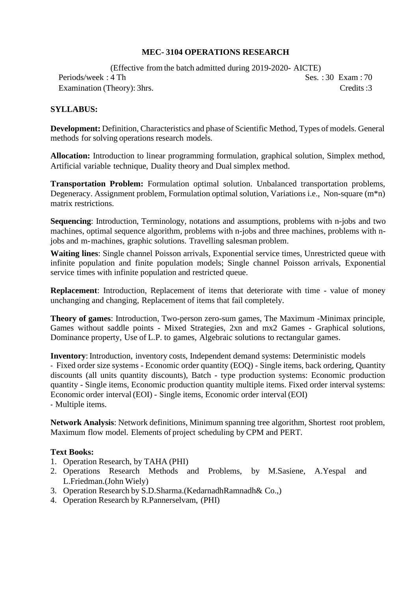# **MEC- 3104 OPERATIONS RESEARCH**

(Effective fromthe batch admitted during 2019-2020- AICTE) Periods/week : 4 Th Ses. : 30 Exam : 70 Examination (Theory): 3hrs. Credits :3

# **SYLLABUS:**

**Development:** Definition, Characteristics and phase of Scientific Method, Types of models. General methods for solving operations research models.

**Allocation:** Introduction to linear programming formulation, graphical solution, Simplex method, Artificial variable technique, Duality theory and Dual simplex method.

**Transportation Problem:** Formulation optimal solution. Unbalanced transportation problems, Degeneracy. Assignment problem, Formulation optimal solution, Variations i.e., Non-square (m\*n) matrix restrictions.

**Sequencing**: Introduction, Terminology, notations and assumptions, problems with n-jobs and two machines, optimal sequence algorithm, problems with n-jobs and three machines, problems with njobs and m-machines, graphic solutions. Travelling salesman problem.

**Waiting lines**: Single channel Poisson arrivals, Exponential service times, Unrestricted queue with infinite population and finite population models; Single channel Poisson arrivals, Exponential service times with infinite population and restricted queue.

**Replacement**: Introduction, Replacement of items that deteriorate with time - value of money unchanging and changing, Replacement of items that fail completely.

**Theory of games**: Introduction, Two-person zero-sum games, The Maximum -Minimax principle, Games without saddle points - Mixed Strategies, 2xn and mx2 Games - Graphical solutions, Dominance property, Use of L.P. to games, Algebraic solutions to rectangular games.

**Inventory**: Introduction, inventory costs, Independent demand systems: Deterministic models - Fixed order size systems - Economic order quantity (EOQ) - Single items, back ordering, Quantity discounts (all units quantity discounts), Batch - type production systems: Economic production quantity - Single items, Economic production quantity multiple items. Fixed order interval systems: Economic order interval (EOI) - Single items, Economic order interval (EOI) - Multiple items.

**Network Analysis**: Network definitions, Minimum spanning tree algorithm, Shortest root problem, Maximum flow model. Elements of project scheduling by CPM and PERT.

#### **Text Books:**

- 1. Operation Research, by TAHA (PHI)
- 2. Operations Research Methods and Problems, by M.Sasiene, A.Yespal and L.Friedman.(John Wiely)
- 3. Operation Research by S.D.Sharma.(KedarnadhRamnadh& Co.,)
- 4. Operation Research by R.Pannerselvam, (PHI)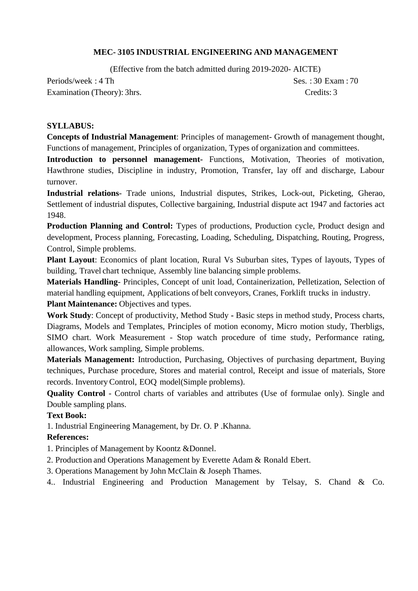# **MEC- 3105 INDUSTRIAL ENGINEERING AND MANAGEMENT**

(Effective from the batch admitted during 2019-2020- AICTE)

Periods/week: 4 Th Ses. : 30 Exam : 70 Examination (Theory): 3hrs. Credits: 3

### **SYLLABUS:**

**Concepts of Industrial Management**: Principles of management- Growth of management thought, Functions of management, Principles of organization, Types of organization and committees.

**Introduction to personnel management-** Functions, Motivation, Theories of motivation, Hawthrone studies, Discipline in industry, Promotion, Transfer, lay off and discharge, Labour turnover.

**Industrial relations**- Trade unions, Industrial disputes, Strikes, Lock-out, Picketing, Gherao, Settlement of industrial disputes, Collective bargaining, Industrial dispute act 1947 and factories act 1948.

**Production Planning and Control:** Types of productions, Production cycle, Product design and development, Process planning, Forecasting, Loading, Scheduling, Dispatching, Routing, Progress, Control, Simple problems.

**Plant Layout**: Economics of plant location, Rural Vs Suburban sites, Types of layouts, Types of building, Travel chart technique, Assembly line balancing simple problems.

**Materials Handling**- Principles, Concept of unit load, Containerization, Pelletization, Selection of material handling equipment, Applications of belt conveyors, Cranes, Forklift trucks in industry.

**Plant Maintenance:** Objectives and types.

**Work Study**: Concept of productivity, Method Study **-** Basic steps in method study, Process charts, Diagrams, Models and Templates, Principles of motion economy, Micro motion study, Therbligs, SIMO chart. Work Measurement - Stop watch procedure of time study, Performance rating, allowances, Work sampling, Simple problems.

**Materials Management:** Introduction, Purchasing, Objectives of purchasing department, Buying techniques, Purchase procedure, Stores and material control, Receipt and issue of materials, Store records. Inventory Control, EOQ model(Simple problems).

**Quality Control** - Control charts of variables and attributes (Use of formulae only). Single and Double sampling plans.

# **Text Book:**

1. Industrial Engineering Management, by Dr. O. P .Khanna.

# **References:**

1. Principles of Management by Koontz &Donnel.

2. Production and Operations Management by Everette Adam & Ronald Ebert.

3. Operations Management by John McClain & Joseph Thames.

4.. Industrial Engineering and Production Management by Telsay, S. Chand & Co.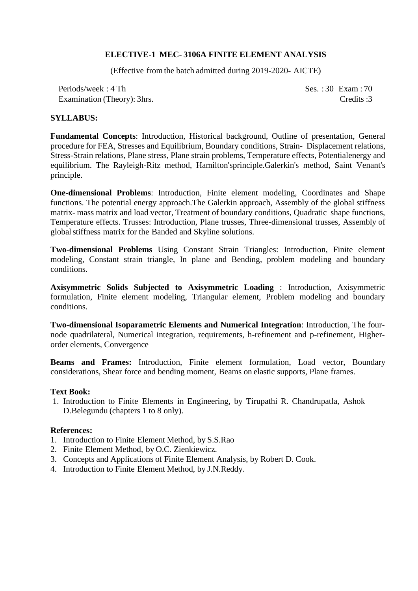## **ELECTIVE-1 MEC- 3106A FINITE ELEMENT ANALYSIS**

(Effective fromthe batch admitted during 2019-2020- AICTE)

Periods/week: 4 Th Ses. : 30 Exam : 70 Examination (Theory): 3hrs. Credits :3

#### **SYLLABUS:**

**Fundamental Concepts**: Introduction, Historical background, Outline of presentation, General procedure for FEA, Stresses and Equilibrium, Boundary conditions, Strain- Displacement relations, Stress-Strain relations, Plane stress, Plane strain problems, Temperature effects, Potentialenergy and equilibrium. The Rayleigh-Ritz method, Hamilton'sprinciple.Galerkin's method, Saint Venant's principle.

**One-dimensional Problems**: Introduction, Finite element modeling, Coordinates and Shape functions. The potential energy approach.The Galerkin approach, Assembly of the global stiffness matrix- mass matrix and load vector, Treatment of boundary conditions, Quadratic shape functions, Temperature effects. Trusses: Introduction, Plane trusses, Three-dimensional trusses, Assembly of globalstiffness matrix for the Banded and Skyline solutions.

**Two-dimensional Problems** Using Constant Strain Triangles: Introduction, Finite element modeling, Constant strain triangle, In plane and Bending, problem modeling and boundary conditions.

**Axisymmetric Solids Subjected to Axisymmetric Loading** : Introduction, Axisymmetric formulation, Finite element modeling, Triangular element, Problem modeling and boundary conditions.

**Two-dimensional Isoparametric Elements and Numerical Integration**: Introduction, The fournode quadrilateral, Numerical integration, requirements, h-refinement and p-refinement, Higherorder elements, Convergence

**Beams and Frames:** Introduction, Finite element formulation, Load vector, Boundary considerations, Shear force and bending moment, Beams on elastic supports, Plane frames.

#### **Text Book:**

1. Introduction to Finite Elements in Engineering, by Tirupathi R. Chandrupatla, Ashok D.Belegundu (chapters 1 to 8 only).

#### **References:**

- 1. Introduction to Finite Element Method, by S.S.Rao
- 2. Finite Element Method, by O.C. Zienkiewicz.
- 3. Concepts and Applications of Finite Element Analysis, by Robert D. Cook.
- 4. Introduction to Finite Element Method, by J.N.Reddy.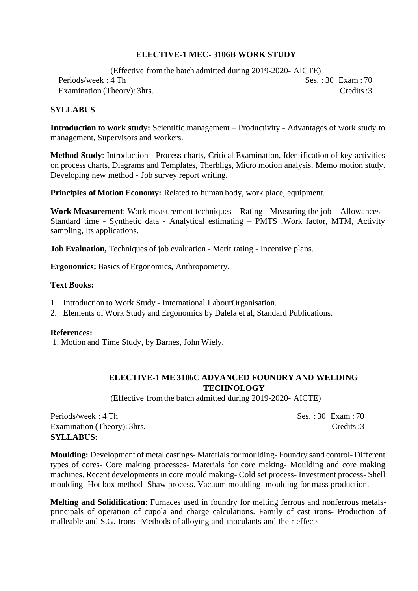# **ELECTIVE-1 MEC- 3106B WORK STUDY**

(Effective fromthe batch admitted during 2019-2020- AICTE) Periods/week: 4 Th Ses. : 30 Exam : 70 Examination (Theory): 3hrs. Credits :3

#### **SYLLABUS**

**Introduction to work study:** Scientific management – Productivity - Advantages of work study to management, Supervisors and workers.

**Method Study**: Introduction - Process charts, Critical Examination, Identification of key activities on process charts, Diagrams and Templates, Therbligs, Micro motion analysis, Memo motion study. Developing new method - Job survey report writing.

**Principles of Motion Economy:** Related to human body, work place, equipment.

**Work Measurement**: Work measurement techniques – Rating - Measuring the job – Allowances - Standard time - Synthetic data - Analytical estimating – PMTS ,Work factor, MTM, Activity sampling, Its applications.

**Job Evaluation,** Techniques of job evaluation - Merit rating - Incentive plans.

**Ergonomics:** Basics of Ergonomics**,** Anthropometry.

#### **Text Books:**

- 1. Introduction to Work Study International LabourOrganisation.
- 2. Elements of Work Study and Ergonomics by Dalela et al, Standard Publications.

#### **References:**

1. Motion and Time Study, by Barnes, John Wiely.

# **ELECTIVE-1 ME 3106C ADVANCED FOUNDRY AND WELDING TECHNOLOGY**

(Effective fromthe batch admitted during 2019-2020- AICTE)

Periods/week: 4 Th Ses. : 30 Exam : 70 Examination (Theory): 3hrs. Credits :3 **SYLLABUS:**

**Moulding:** Development of metal castings- Materialsfor moulding- Foundry sand control- Different types of cores- Core making processes- Materials for core making- Moulding and core making machines. Recent developments in core mould making- Cold set process- Investment process- Shell moulding- Hot box method- Shaw process. Vacuum moulding- moulding for mass production.

**Melting and Solidification**: Furnaces used in foundry for melting ferrous and nonferrous metalsprincipals of operation of cupola and charge calculations. Family of cast irons- Production of malleable and S.G. Irons- Methods of alloying and inoculants and their effects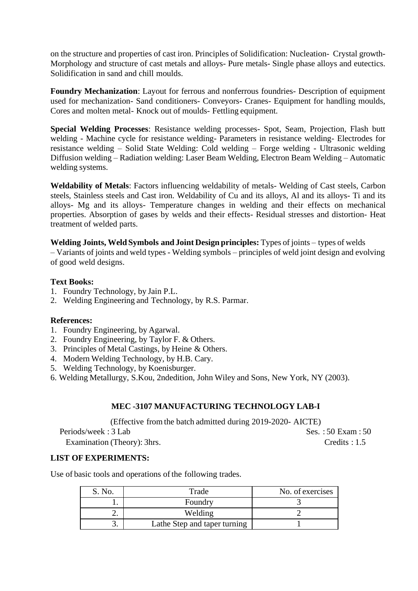on the structure and properties of cast iron. Principles of Solidification: Nucleation- Crystal growth-Morphology and structure of cast metals and alloys- Pure metals- Single phase alloys and eutectics. Solidification in sand and chill moulds.

**Foundry Mechanization**: Layout for ferrous and nonferrous foundries- Description of equipment used for mechanization- Sand conditioners- Conveyors- Cranes- Equipment for handling moulds, Cores and molten metal- Knock out of moulds- Fettling equipment.

**Special Welding Processes**: Resistance welding processes- Spot, Seam, Projection, Flash butt welding - Machine cycle for resistance welding- Parameters in resistance welding- Electrodes for resistance welding – Solid State Welding: Cold welding – Forge welding - Ultrasonic welding Diffusion welding – Radiation welding: Laser Beam Welding, Electron Beam Welding – Automatic welding systems.

**Weldability of Metals**: Factors influencing weldability of metals- Welding of Cast steels, Carbon steels, Stainless steels and Cast iron. Weldability of Cu and its alloys, Al and its alloys- Ti and its alloys- Mg and its alloys- Temperature changes in welding and their effects on mechanical properties. Absorption of gases by welds and their effects- Residual stresses and distortion- Heat treatment of welded parts.

**Welding Joints, Weld Symbols and Joint Design principles:** Types of joints – types of welds – Variants of joints and weld types - Welding symbols – principles of weld joint design and evolving of good weld designs.

#### **Text Books:**

- 1. Foundry Technology, by Jain P.L.
- 2. Welding Engineering and Technology, by R.S. Parmar.

#### **References:**

- 1. Foundry Engineering, by Agarwal.
- 2. Foundry Engineering, by Taylor F. & Others.
- 3. Principles of Metal Castings, by Heine & Others.
- 4. Modern Welding Technology, by H.B. Cary.
- 5. Welding Technology, by Koenisburger.
- 6. Welding Metallurgy, S.Kou, 2ndedition, John Wiley and Sons, New York, NY (2003).

#### **MEC -3107 MANUFACTURING TECHNOLOGY LAB-I**

(Effective from the batch admitted during 2019-2020- AICTE)

Examination (Theory): 3hrs. Credits : 1.5

Periods/week : 3 Lab Ses. : 50 Exam : 50

# **LIST OF EXPERIMENTS:**

Use of basic tools and operations of the following trades.

| S. No. | Trade                        | No. of exercises |
|--------|------------------------------|------------------|
|        | Foundry                      |                  |
| ـ.     | Welding                      |                  |
| J.     | Lathe Step and taper turning |                  |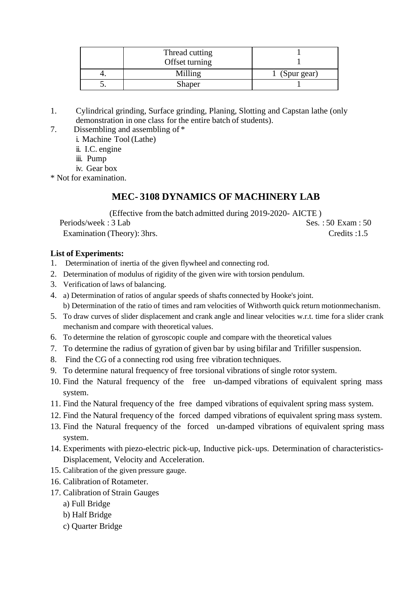| Thread cutting<br>Offset turning |             |
|----------------------------------|-------------|
| Milling                          | (Spur gear) |
| Shaper                           |             |

- 1. Cylindrical grinding, Surface grinding, Planing, Slotting and Capstan lathe (only demonstration in one class for the entire batch of students).
- 7. Dissembling and assembling of \*
	- i. Machine Tool(Lathe)
	- ii. I.C. engine
	- iii. Pump
	- iv. Gear box
- \* Not for examination.

# **MEC- 3108 DYNAMICS OF MACHINERY LAB**

(Effective from the batch admitted during 2019-2020- AICTE )  $Periods/week : 3$  Lab  $Ses. : 50$  Exam : 50 Examination (Theory): 3hrs. Credits :1.5

# **List of Experiments:**

- 1. Determination of inertia of the given flywheel and connecting rod.
- 2. Determination of modulus of rigidity of the given wire with torsion pendulum.
- 3. Verification of laws of balancing.
- 4. a) Determination of ratios of angular speeds of shafts connected by Hooke'sjoint. b) Determination of the ratio of times and ram velocities of Withworth quick return motionmechanism.
- 5. To draw curves of slider displacement and crank angle and linear velocities w.r.t. time for a slider crank mechanism and compare with theoretical values.
- 6. To determine the relation of gyroscopic couple and compare with the theoretical values
- 7. To determine the radius of gyration of given bar by using bifilar and Trifiller suspension.
- 8. Find the CG of a connecting rod using free vibration techniques.
- 9. To determine natural frequency of free torsional vibrations of single rotor system.
- 10. Find the Natural frequency of the free un-damped vibrations of equivalent spring mass system.
- 11. Find the Natural frequency of the free damped vibrations of equivalent spring mass system.
- 12. Find the Natural frequency of the forced damped vibrations of equivalent spring mass system.
- 13. Find the Natural frequency of the forced un-damped vibrations of equivalent spring mass system.
- 14. Experiments with piezo-electric pick-up, Inductive pick-ups. Determination of characteristics-Displacement, Velocity and Acceleration.
- 15. Calibration of the given pressure gauge.
- 16. Calibration of Rotameter.
- 17. Calibration of Strain Gauges
	- a) Full Bridge
	- b) Half Bridge
	- c) Quarter Bridge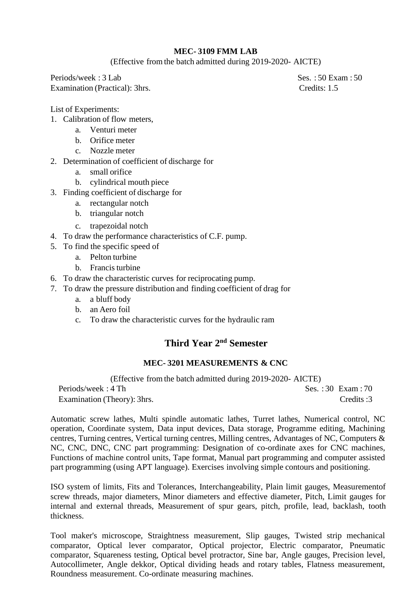# **MEC- 3109 FMM LAB**

(Effective fromthe batch admitted during 2019-2020- AICTE)

Periods/week: 3 Lab Ses. : 50 Exam : 50 Examination (Practical): 3hrs. Credits: 1.5

List of Experiments:

- 1. Calibration of flow meters,
	- a. Venturi meter
	- b. Orifice meter
	- c. Nozzle meter
- 2. Determination of coefficient of discharge for
	- a. small orifice
	- b. cylindrical mouth piece
- 3. Finding coefficient of discharge for
	- a. rectangular notch
	- b. triangular notch
	- c. trapezoidal notch
- 4. To draw the performance characteristics of C.F. pump.
- 5. To find the specific speed of
	- a. Pelton turbine
	- b. Francis turbine
- 6. To draw the characteristic curves for reciprocating pump.
- 7. To draw the pressure distribution and finding coefficient of drag for
	- a. a bluff body
	- b. an Aero foil
	- c. To draw the characteristic curves for the hydraulic ram

# **Third Year 2 nd Semester**

# **MEC- 3201 MEASUREMENTS & CNC**

(Effective fromthe batch admitted during 2019-2020- AICTE) Periods/week : 4 Th Ses. : 30 Exam : 70 Examination (Theory): 3hrs. Credits :3

Automatic screw lathes, Multi spindle automatic lathes, Turret lathes, Numerical control, NC operation, Coordinate system, Data input devices, Data storage, Programme editing, Machining centres, Turning centres, Vertical turning centres, Milling centres, Advantages of NC, Computers & NC, CNC, DNC, CNC part programming: Designation of co-ordinate axes for CNC machines, Functions of machine control units, Tape format, Manual part programming and computer assisted part programming (using APT language). Exercises involving simple contours and positioning.

ISO system of limits, Fits and Tolerances, Interchangeability, Plain limit gauges, Measurementof screw threads, major diameters, Minor diameters and effective diameter, Pitch, Limit gauges for internal and external threads, Measurement of spur gears, pitch, profile, lead, backlash, tooth thickness.

Tool maker's microscope, Straightness measurement, Slip gauges, Twisted strip mechanical comparator, Optical lever comparator, Optical projector, Electric comparator, Pneumatic comparator, Squareness testing, Optical bevel protractor, Sine bar, Angle gauges, Precision level, Autocollimeter, Angle dekkor, Optical dividing heads and rotary tables, Flatness measurement, Roundness measurement. Co-ordinate measuring machines.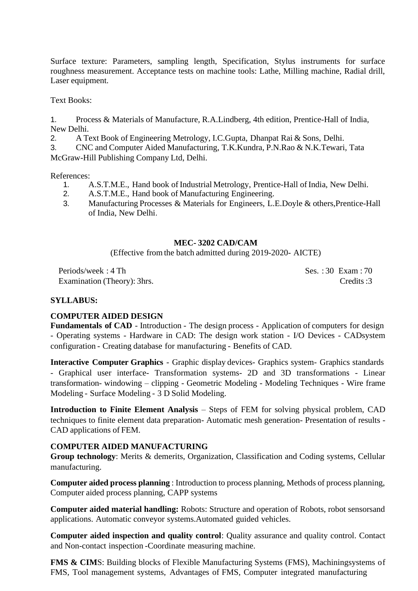Surface texture: Parameters, sampling length, Specification, Stylus instruments for surface roughness measurement. Acceptance tests on machine tools: Lathe, Milling machine, Radial drill, Laser equipment.

Text Books:

1. Process & Materials of Manufacture, R.A.Lindberg, 4th edition, Prentice-Hall of India, New Delhi.

2. A Text Book of Engineering Metrology, I.C.Gupta, Dhanpat Rai & Sons, Delhi.

3. CNC and Computer Aided Manufacturing, T.K.Kundra, P.N.Rao & N.K.Tewari, Tata McGraw-Hill Publishing Company Ltd, Delhi.

References:

- 1. A.S.T.M.E., Hand book of Industrial Metrology, Prentice-Hall of India, New Delhi.
- 2. A.S.T.M.E., Hand book of Manufacturing Engineering.
- 3. Manufacturing Processes & Materials for Engineers, L.E.Doyle & others,Prentice-Hall of India, New Delhi.

#### **MEC- 3202 CAD/CAM**

(Effective fromthe batch admitted during 2019-2020- AICTE)

Periods/week: 4 Th Ses. : 30 Exam : 70 Examination (Theory): 3hrs. Credits :3

#### **SYLLABUS:**

#### **COMPUTER AIDED DESIGN**

**Fundamentals of CAD** - Introduction - The design process - Application of computers for design - Operating systems - Hardware in CAD: The design work station - I/O Devices - CADsystem configuration - Creating database for manufacturing - Benefits of CAD.

**Interactive Computer Graphics** - Graphic display devices- Graphics system- Graphics standards - Graphical user interface- Transformation systems- 2D and 3D transformations - Linear transformation- windowing – clipping - Geometric Modeling - Modeling Techniques - Wire frame Modeling - Surface Modeling - 3 D Solid Modeling.

**Introduction to Finite Element Analysis** – Steps of FEM for solving physical problem, CAD techniques to finite element data preparation- Automatic mesh generation- Presentation of results - CAD applications of FEM.

#### **COMPUTER AIDED MANUFACTURING**

**Group technology**: Merits & demerits, Organization, Classification and Coding systems, Cellular manufacturing.

**Computer aided process planning** : Introduction to process planning, Methods of process planning, Computer aided process planning, CAPP systems

**Computer aided material handling:** Robots: Structure and operation of Robots, robot sensorsand applications. Automatic conveyor systems.Automated guided vehicles.

**Computer aided inspection and quality control**: Quality assurance and quality control. Contact and Non-contact inspection -Coordinate measuring machine.

**FMS & CIM**S: Building blocks of Flexible Manufacturing Systems (FMS), Machiningsystems of FMS, Tool management systems, Advantages of FMS, Computer integrated manufacturing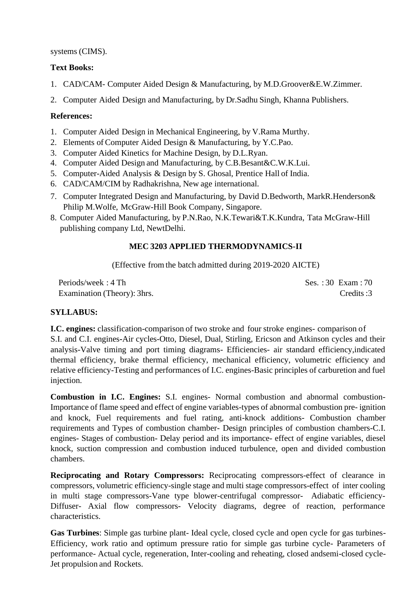# systems (CIMS).

# **Text Books:**

- 1. CAD/CAM- Computer Aided Design & Manufacturing, by M.D.Groover&E.W.Zimmer.
- 2. Computer Aided Design and Manufacturing, by Dr.Sadhu Singh, Khanna Publishers.

# **References:**

- 1. Computer Aided Design in Mechanical Engineering, by V.Rama Murthy.
- 2. Elements of Computer Aided Design & Manufacturing, by Y.C.Pao.
- 3. Computer Aided Kinetics for Machine Design, by D.L.Ryan.
- 4. Computer Aided Design and Manufacturing, by C.B.Besant&C.W.K.Lui.
- 5. Computer-Aided Analysis & Design by S. Ghosal, Prentice Hall of India.
- 6. CAD/CAM/CIM by Radhakrishna, New age international.
- 7. Computer Integrated Design and Manufacturing, by David D.Bedworth, MarkR.Henderson& Philip M.Wolfe, McGraw-Hill Book Company, Singapore.
- 8. Computer Aided Manufacturing, by P.N.Rao, N.K.Tewari&T.K.Kundra, Tata McGraw-Hill publishing company Ltd, NewtDelhi.

# **MEC 3203 APPLIED THERMODYNAMICS-II**

(Effective fromthe batch admitted during 2019-2020 AICTE)

Periods/week: 4 Th Ses.: 30 Exam: 70 Examination (Theory): 3hrs. Credits :3

# **SYLLABUS:**

**I.C. engines:** classification-comparison of two stroke and four stroke engines- comparison of S.I. and C.I. engines**-**Air cycles-Otto, Diesel, Dual, Stirling, Ericson and Atkinson cycles and their analysis-Valve timing and port timing diagrams- Efficiencies- air standard efficiency,indicated thermal efficiency, brake thermal efficiency, mechanical efficiency, volumetric efficiency and relative efficiency-Testing and performances of I.C. engines-Basic principles of carburetion and fuel injection.

**Combustion in I.C. Engines:** S.I. engines- Normal combustion and abnormal combustion-Importance of flame speed and effect of engine variables-types of abnormal combustion pre- ignition and knock, Fuel requirements and fuel rating, anti-knock additions- Combustion chamber requirements and Types of combustion chamber- Design principles of combustion chambers-C.I. engines- Stages of combustion- Delay period and its importance- effect of engine variables, diesel knock, suction compression and combustion induced turbulence, open and divided combustion chambers.

**Reciprocating and Rotary Compressors:** Reciprocating compressors-effect of clearance in compressors, volumetric efficiency-single stage and multi stage compressors-effect of inter cooling in multi stage compressors-Vane type blower-centrifugal compressor- Adiabatic efficiency-Diffuser- Axial flow compressors- Velocity diagrams, degree of reaction, performance characteristics.

**Gas Turbines**: Simple gas turbine plant- Ideal cycle, closed cycle and open cycle for gas turbines-Efficiency, work ratio and optimum pressure ratio for simple gas turbine cycle- Parameters of performance- Actual cycle, regeneration, Inter-cooling and reheating, closed andsemi-closed cycle-Jet propulsion and Rockets.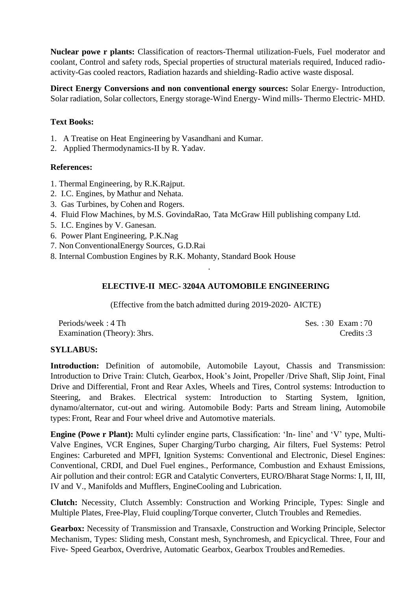**Nuclear powe r plants:** Classification of reactors-Thermal utilization-Fuels, Fuel moderator and coolant, Control and safety rods, Special properties of structural materials required, Induced radioactivity-Gas cooled reactors, Radiation hazards and shielding-Radio active waste disposal.

**Direct Energy Conversions and non conventional energy sources:** Solar Energy- Introduction, Solar radiation, Solar collectors, Energy storage-Wind Energy- Wind mills- Thermo Electric- MHD.

# **Text Books:**

- 1. A Treatise on Heat Engineering by Vasandhani and Kumar.
- 2. Applied Thermodynamics-II by R. Yadav.

# **References:**

- 1. Thermal Engineering, by R.K.Rajput.
- 2. I.C. Engines, by Mathur and Nehata.
- 3. Gas Turbines, by Cohen and Rogers.
- 4. Fluid Flow Machines, by M.S. GovindaRao, Tata McGraw Hill publishing company Ltd.
- 5. I.C. Engines by V. Ganesan.
- 6. Power Plant Engineering, P.K.Nag
- 7. Non ConventionalEnergy Sources, G.D.Rai
- 8. Internal Combustion Engines by R.K. Mohanty, Standard Book House

# **ELECTIVE-II MEC- 3204A AUTOMOBILE ENGINEERING**

.

(Effective fromthe batch admitted during 2019-2020- AICTE)

Periods/week: 4 Th Ses.: 30 Exam: 70 Examination (Theory): 3hrs. Credits :3

# **SYLLABUS:**

**Introduction:** Definition of automobile, Automobile Layout, Chassis and Transmission: Introduction to Drive Train: Clutch, Gearbox, Hook's Joint, Propeller /Drive Shaft, Slip Joint, Final Drive and Differential, Front and Rear Axles, Wheels and Tires, Control systems: Introduction to Steering, and Brakes. Electrical system: Introduction to Starting System, Ignition, dynamo/alternator, cut-out and wiring. Automobile Body: Parts and Stream lining, Automobile types: Front, Rear and Four wheel drive and Automotive materials.

**Engine (Powe r Plant):** Multi cylinder engine parts, Classification: 'In- line' and 'V' type, Multi-Valve Engines, VCR Engines, Super Charging/Turbo charging, Air filters, Fuel Systems: Petrol Engines: Carbureted and MPFI, Ignition Systems: Conventional and Electronic, Diesel Engines: Conventional, CRDI, and Duel Fuel engines., Performance, Combustion and Exhaust Emissions, Air pollution and their control: EGR and Catalytic Converters, EURO/Bharat Stage Norms: I, II, III, IV and V., Manifolds and Mufflers, EngineCooling and Lubrication.

**Clutch:** Necessity, Clutch Assembly: Construction and Working Principle, Types: Single and Multiple Plates, Free-Play, Fluid coupling/Torque converter, Clutch Troubles and Remedies.

**Gearbox:** Necessity of Transmission and Transaxle, Construction and Working Principle, Selector Mechanism, Types: Sliding mesh, Constant mesh, Synchromesh, and Epicyclical. Three, Four and Five- Speed Gearbox, Overdrive, Automatic Gearbox, Gearbox Troubles andRemedies.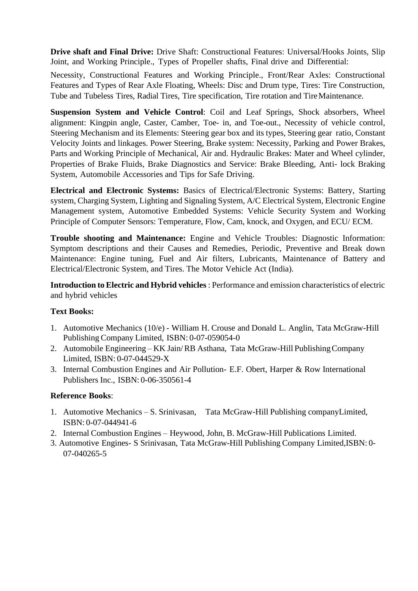**Drive shaft and Final Drive:** Drive Shaft: Constructional Features: Universal/Hooks Joints, Slip Joint, and Working Principle., Types of Propeller shafts, Final drive and Differential:

Necessity, Constructional Features and Working Principle., Front/Rear Axles: Constructional Features and Types of Rear Axle Floating, Wheels: Disc and Drum type, Tires: Tire Construction, Tube and Tubeless Tires, Radial Tires, Tire specification, Tire rotation and TireMaintenance.

**Suspension System and Vehicle Control**: Coil and Leaf Springs, Shock absorbers, Wheel alignment: Kingpin angle, Caster, Camber, Toe- in, and Toe-out., Necessity of vehicle control, Steering Mechanism and its Elements: Steering gear box and its types, Steering gear ratio, Constant Velocity Joints and linkages. Power Steering, Brake system: Necessity, Parking and Power Brakes, Parts and Working Principle of Mechanical, Air and. Hydraulic Brakes: Mater and Wheel cylinder, Properties of Brake Fluids, Brake Diagnostics and Service: Brake Bleeding, Anti- lock Braking System, Automobile Accessories and Tips for Safe Driving.

**Electrical and Electronic Systems:** Basics of Electrical/Electronic Systems: Battery, Starting system, Charging System, Lighting and Signaling System, A/C Electrical System, Electronic Engine Management system, Automotive Embedded Systems: Vehicle Security System and Working Principle of Computer Sensors: Temperature, Flow, Cam, knock, and Oxygen, and ECU/ ECM.

**Trouble shooting and Maintenance:** Engine and Vehicle Troubles: Diagnostic Information: Symptom descriptions and their Causes and Remedies, Periodic, Preventive and Break down Maintenance: Engine tuning, Fuel and Air filters, Lubricants, Maintenance of Battery and Electrical/Electronic System, and Tires. The Motor Vehicle Act (India).

**Introduction to Electric and Hybrid vehicles** : Performance and emission characteristics of electric and hybrid vehicles

# **Text Books:**

- 1. Automotive Mechanics (10/e) William H. Crouse and Donald L. Anglin, Tata McGraw-Hill Publishing Company Limited, ISBN: 0-07-059054-0
- 2. Automobile Engineering KK Jain/RB Asthana, Tata McGraw-Hill PublishingCompany Limited, ISBN: 0-07-044529-X
- 3. Internal Combustion Engines and Air Pollution- E.F. Obert, Harper & Row International Publishers Inc., ISBN: 0-06-350561-4

# **Reference Books**:

- 1. Automotive Mechanics S. Srinivasan, Tata McGraw-Hill Publishing companyLimited, ISBN: 0-07-044941-6
- 2. Internal Combustion Engines Heywood, John, B. McGraw-Hill Publications Limited.
- 3. Automotive Engines- S Srinivasan, Tata McGraw-Hill Publishing Company Limited,ISBN: 0- 07-040265-5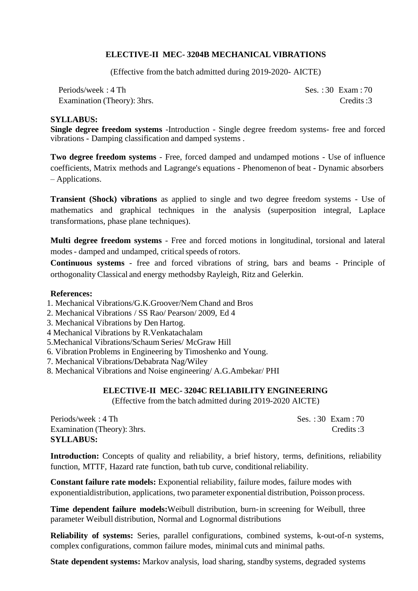# **ELECTIVE-II MEC- 3204B MECHANICAL VIBRATIONS**

(Effective fromthe batch admitted during 2019-2020- AICTE)

Periods/week: 4 Th Ses. : 30 Exam : 70 Examination (Theory): 3hrs. Credits :3

#### **SYLLABUS:**

**Single degree freedom systems** -Introduction - Single degree freedom systems- free and forced vibrations - Damping classification and damped systems .

**Two degree freedom systems** - Free, forced damped and undamped motions - Use of influence coefficients, Matrix methods and Lagrange's equations - Phenomenon of beat - Dynamic absorbers – Applications.

**Transient (Shock) vibrations** as applied to single and two degree freedom systems - Use of mathematics and graphical techniques in the analysis (superposition integral, Laplace transformations, phase plane techniques).

**Multi degree freedom systems** - Free and forced motions in longitudinal, torsional and lateral modes - damped and undamped, critical speeds of rotors.

**Continuous systems** - free and forced vibrations of string, bars and beams - Principle of orthogonality Classical and energy methodsby Rayleigh, Ritz and Gelerkin.

#### **References:**

- 1. Mechanical Vibrations/G.K.Groover/Nem Chand and Bros
- 2. Mechanical Vibrations / SS Rao/ Pearson/ 2009, Ed 4
- 3. Mechanical Vibrations by Den Hartog.
- 4 Mechanical Vibrations by R.Venkatachalam
- 5.Mechanical Vibrations/Schaum Series/ McGraw Hill
- 6. Vibration Problems in Engineering by Timoshenko and Young.
- 7. Mechanical Vibrations/Debabrata Nag/Wiley
- 8. Mechanical Vibrations and Noise engineering/ A.G.Ambekar/ PHI

#### **ELECTIVE-II MEC- 3204C RELIABILITY ENGINEERING**

(Effective fromthe batch admitted during 2019-2020 AICTE)

Periods/week: 4 Th Ses. : 30 Exam : 70 Examination (Theory): 3hrs. Credits :3 **SYLLABUS:**

**Introduction:** Concepts of quality and reliability, a brief history, terms, definitions, reliability function, MTTF, Hazard rate function, bath tub curve, conditional reliability.

**Constant failure rate models:** Exponential reliability, failure modes, failure modes with exponentialdistribution, applications, two parameter exponential distribution, Poisson process.

**Time dependent failure models:**Weibull distribution, burn-in screening for Weibull, three parameter Weibull distribution, Normal and Lognormal distributions

**Reliability of systems:** Series, parallel configurations, combined systems, k-out-of-n systems, complex configurations, common failure modes, minimal cuts and minimal paths.

**State dependent systems:** Markov analysis, load sharing, standby systems, degraded systems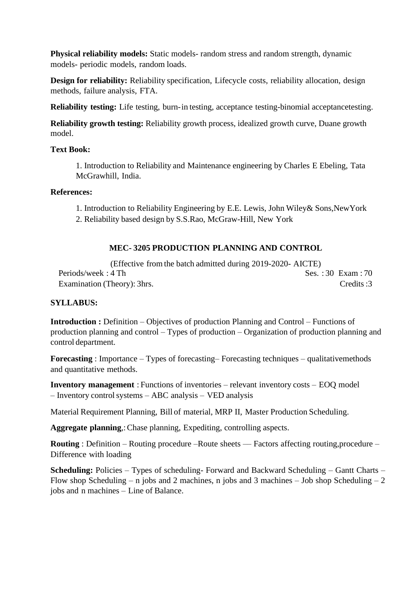**Physical reliability models:** Static models- random stress and random strength, dynamic models- periodic models, random loads.

**Design for reliability:** Reliability specification, Lifecycle costs, reliability allocation, design methods, failure analysis, FTA.

**Reliability testing:** Life testing, burn-in testing, acceptance testing-binomial acceptancetesting.

**Reliability growth testing:** Reliability growth process, idealized growth curve, Duane growth model.

## **Text Book:**

1. Introduction to Reliability and Maintenance engineering by Charles E Ebeling, Tata McGrawhill, India.

# **References:**

1. Introduction to Reliability Engineering by E.E. Lewis, John Wiley& Sons,NewYork

2. Reliability based design by S.S.Rao, McGraw-Hill, New York

# **MEC- 3205 PRODUCTION PLANNING AND CONTROL**

(Effective from the batch admitted during 2019-2020- AICTE) Periods/week: 4 Th Ses. : 30 Exam : 70 Examination (Theory): 3hrs. Credits :3

# **SYLLABUS:**

**Introduction :** Definition – Objectives of production Planning and Control – Functions of production planning and control – Types of production – Organization of production planning and control department.

**Forecasting** : Importance – Types of forecasting– Forecasting techniques – qualitativemethods and quantitative methods.

**Inventory management** : Functions of inventories – relevant inventory costs – EOQ model – Inventory controlsystems – ABC analysis – VED analysis

Material Requirement Planning, Bill of material, MRP II, Master Production Scheduling.

**Aggregate planning**,:Chase planning, Expediting, controlling aspects.

**Routing** : Definition – Routing procedure –Route sheets –– Factors affecting routing,procedure – Difference with loading

**Scheduling:** Policies – Types of scheduling- Forward and Backward Scheduling – Gantt Charts – Flow shop Scheduling – n jobs and 2 machines, n jobs and 3 machines – Job shop Scheduling – 2 jobs and n machines – Line of Balance.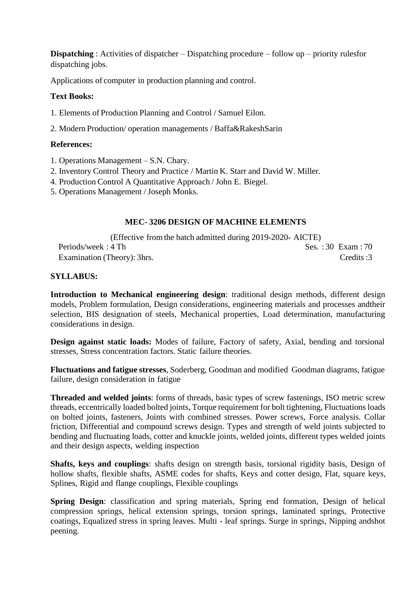**Dispatching** : Activities of dispatcher – Dispatching procedure – follow up – priority rulesfor dispatching jobs.

Applications of computer in production planning and control.

# **Text Books:**

1. Elements of Production Planning and Control / Samuel Eilon.

2. Modern Production/ operation managements / Baffa&RakeshSarin

# **References:**

- 1. Operations Management S.N. Chary.
- 2. Inventory Control Theory and Practice / Martin K. Starr and David W. Miller.
- 4. Production Control A Quantitative Approach / John E. Biegel.
- 5. Operations Management / Joseph Monks.

# **MEC- 3206 DESIGN OF MACHINE ELEMENTS**

(Effective fromthe batch admitted during 2019-2020- AICTE) Periods/week: 4 Th Ses. : 30 Exam : 70 Examination (Theory): 3hrs. Credits :3

# **SYLLABUS:**

**Introduction to Mechanical engineering design**: traditional design methods, different design models, Problem formulation, Design considerations, engineering materials and processes andtheir selection, BIS designation of steels, Mechanical properties, Load determination, manufacturing considerations in design.

**Design against static loads:** Modes of failure, Factory of safety, Axial, bending and torsional stresses, Stress concentration factors. Static failure theories.

**Fluctuations and fatigue stresses**, Soderberg, Goodman and modified Goodman diagrams, fatigue failure, design consideration in fatigue

**Threaded and welded joints**: forms of threads, basic types of screw fastenings, ISO metric screw threads, eccentrically loaded bolted joints, Torque requirement for bolt tightening, Fluctuations loads on bolted joints, fasteners, Joints with combined stresses. Power screws, Force analysis. Collar friction, Differential and compound screws design. Types and strength of weld joints subjected to bending and fluctuating loads, cotter and knuckle joints, welded joints, different types welded joints and their design aspects, welding inspection

**Shafts, keys and couplings**: shafts design on strength basis, torsional rigidity basis, Design of hollow shafts, flexible shafts, ASME codes for shafts, Keys and cotter design, Flat, square keys, Splines, Rigid and flange couplings, Flexible couplings

**Spring Design**: classification and spring materials, Spring end formation, Design of helical compression springs, helical extension springs, torsion springs, laminated springs, Protective coatings, Equalized stress in spring leaves. Multi - leaf springs. Surge in springs, Nipping andshot peening.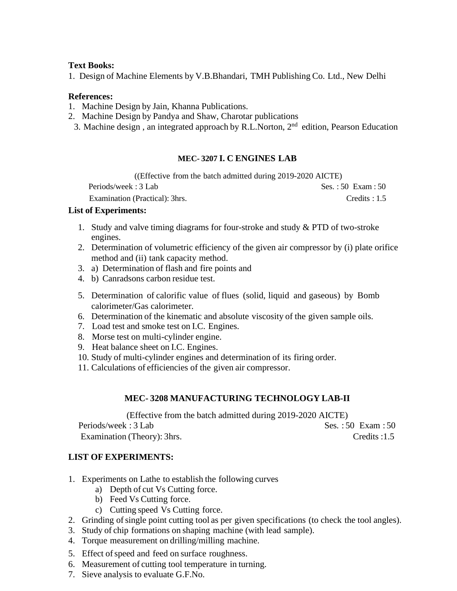#### **Text Books:**

1. Design of Machine Elements by V.B.Bhandari, TMH Publishing Co. Ltd., New Delhi

#### **References:**

- 1. Machine Design by Jain, Khanna Publications.
- 2. Machine Design by Pandya and Shaw, Charotar publications
- 3. Machine design, an integrated approach by R.L.Norton, 2<sup>nd</sup> edition, Pearson Education

#### **MEC- 3207 I. C ENGINES LAB**

((Effective from the batch admitted during 2019-2020 AICTE)

| Periods/week: 3 Lab            | Ses.: $50$ Exam: $50$ |
|--------------------------------|-----------------------|
| Examination (Practical): 3hrs. | Credits : $1.5$       |

#### **List of Experiments:**

- 1. Study and valve timing diagrams for four-stroke and study & PTD of two-stroke engines.
- 2. Determination of volumetric efficiency of the given air compressor by (i) plate orifice method and (ii) tank capacity method.
- 3. a) Determination of flash and fire points and
- 4. b) Canradsons carbon residue test.
- 5. Determination of calorific value of flues (solid, liquid and gaseous) by Bomb calorimeter/Gas calorimeter.
- 6. Determination of the kinematic and absolute viscosity of the given sample oils.
- 7. Load test and smoke test on I.C. Engines.
- 8. Morse test on multi-cylinder engine.
- 9. Heat balance sheet on I.C. Engines.
- 10. Study of multi-cylinder engines and determination of its firing order.
- 11. Calculations of efficiencies of the given air compressor.

#### **MEC- 3208 MANUFACTURING TECHNOLOGY LAB-II**

(Effective from the batch admitted during 2019-2020 AICTE) Periods/week: 3 Lab Ses. : 50 Exam : 50 Examination (Theory): 3hrs. Credits :1.5

#### **LIST OF EXPERIMENTS:**

- 1. Experiments on Lathe to establish the following curves
	- a) Depth of cut Vs Cutting force.
	- b) Feed Vs Cutting force.
	- c) Cutting speed Vs Cutting force.
- 2. Grinding of single point cutting tool as per given specifications (to check the tool angles).
- 3. Study of chip formations on shaping machine (with lead sample).
- 4. Torque measurement on drilling/milling machine.
- 5. Effect of speed and feed on surface roughness.
- 6. Measurement of cutting tool temperature in turning.
- 7. Sieve analysis to evaluate G.F.No.